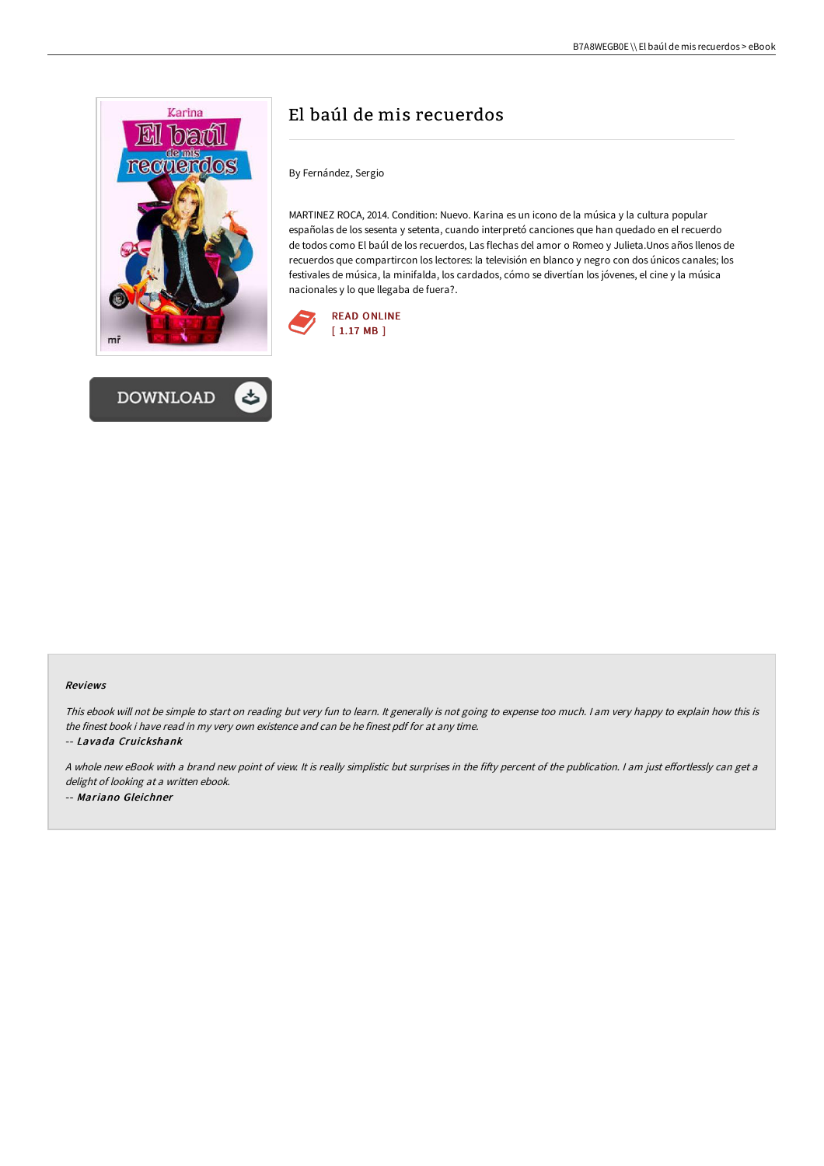



# El baúl de mis recuerdos

By Fernández, Sergio

MARTINEZ ROCA, 2014. Condition: Nuevo. Karina es un icono de la música y la cultura popular españolas de los sesenta y setenta, cuando interpretó canciones que han quedado en el recuerdo de todos como El baúl de los recuerdos, Las flechas del amor o Romeo y Julieta.Unos años llenos de recuerdos que compartircon los lectores: la televisión en blanco y negro con dos únicos canales; los festivales de música, la minifalda, los cardados, cómo se divertían los jóvenes, el cine y la música nacionales y lo que llegaba de fuera?.



#### Reviews

This ebook will not be simple to start on reading but very fun to learn. It generally is not going to expense too much. <sup>I</sup> am very happy to explain how this is the finest book i have read in my very own existence and can be he finest pdf for at any time.

-- Lavada Cruickshank

A whole new eBook with a brand new point of view. It is really simplistic but surprises in the fifty percent of the publication. I am just effortlessly can get a delight of looking at <sup>a</sup> written ebook. -- Mariano Gleichner